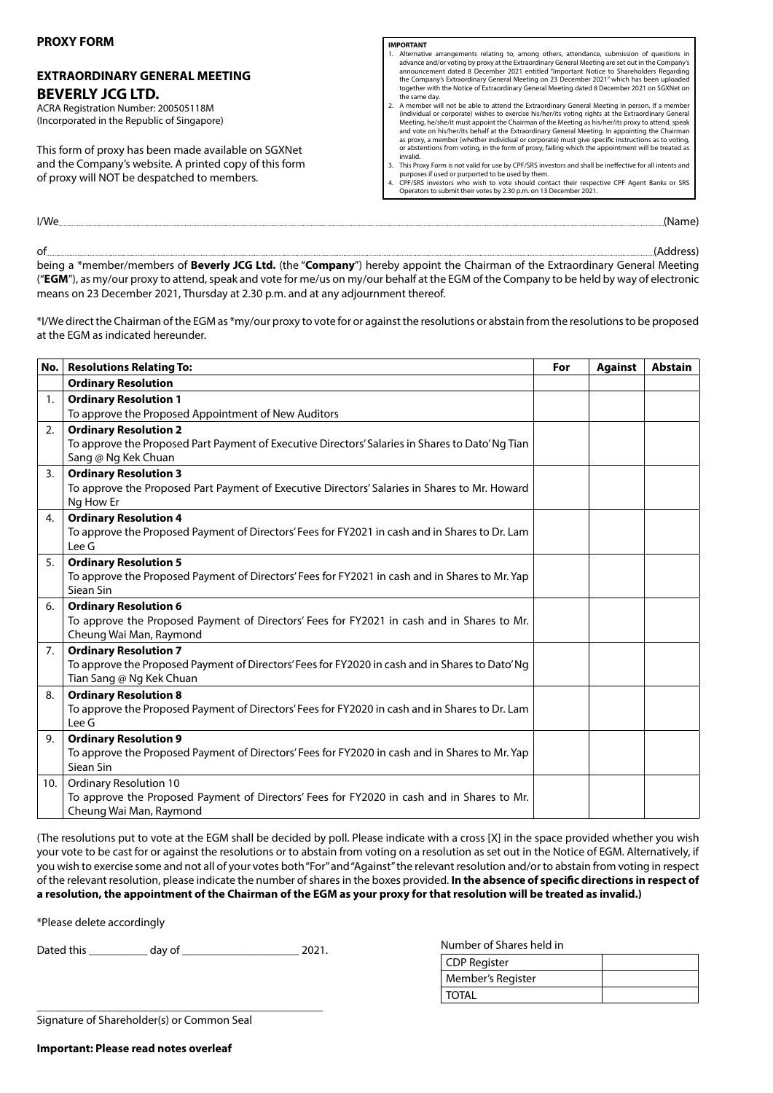# **EXTRAORDINARY GENERAL MEETING BEVERLY JCG LTD.**

ACRA Registration Number: 200505118M (Incorporated in the Republic of Singapore)

This form of proxy has been made available on SGXNet and the Company's website. A printed copy of this form of proxy will NOT be despatched to members.

#### **IMPORTANT**

- 1. Alternative arrangements relating to, among others, attendance, submission of questions in advance and/or voting by proxy at the Extraordinary General Meeting are set out in the Company's<br>announcement dated 8 December 2021 entitled "Important Notice to Shareholders Regarding<br>the Company's Extraordinary General M the same day. 2. A member will not be able to attend the Extraordinary General Meeting in person. If a member
- (individual or corporate) wishes to exercise his/her/its voting rights at the Extraordinary General Meeting, he/she/it must appoint the Chairman of the Meeting as his/her/its proxy to attend, speak and vote on his/her/its behalf at the Extraordinary General Meeting. In appointing the Chairman as proxy, a member (whether individual or corporate) must give specific instructions as to voting, or abstentions from voting, in the form of proxy, failing which the appointment will be treated as invalid.
- 3. This Proxy Form is not valid for use by CPF/SRS investors and shall be ineffective for all intents and<br>purposes if used or purported to be used by them.<br>4. CPF/SRS investors who wish to vote should contact their respect
- Operators to submit their votes by 2.30 p.m. on 13 December 2021.

of **and a contract of the contract of the contract of the contract of the contract of the contract of the contract of the contract of the contract of the contract of the contract of the contract of the contract of the cont** being a \*member/members of **Beverly JCG Ltd.** (the "**Company**") hereby appoint the Chairman of the Extraordinary General Meeting ("**EGM**"), as my/our proxy to attend, speak and vote for me/us on my/our behalf at the EGM of the Company to be held by way of electronic means on 23 December 2021, Thursday at 2.30 p.m. and at any adjournment thereof.

I/We (Name)

\*I/We direct the Chairman of the EGM as \*my/our proxy to vote for or against the resolutions or abstain from the resolutions to be proposed at the EGM as indicated hereunder.

|     | No.   Resolutions Relating To:                                                                                                  | For | <b>Against</b> | <b>Abstain</b> |
|-----|---------------------------------------------------------------------------------------------------------------------------------|-----|----------------|----------------|
|     | <b>Ordinary Resolution</b>                                                                                                      |     |                |                |
| 1.  | <b>Ordinary Resolution 1</b>                                                                                                    |     |                |                |
|     | To approve the Proposed Appointment of New Auditors                                                                             |     |                |                |
| 2.  | <b>Ordinary Resolution 2</b>                                                                                                    |     |                |                |
|     | To approve the Proposed Part Payment of Executive Directors' Salaries in Shares to Dato' Ng Tian                                |     |                |                |
|     | Sang @ Ng Kek Chuan                                                                                                             |     |                |                |
| 3.  | <b>Ordinary Resolution 3</b>                                                                                                    |     |                |                |
|     | To approve the Proposed Part Payment of Executive Directors' Salaries in Shares to Mr. Howard                                   |     |                |                |
|     | Ng How Er                                                                                                                       |     |                |                |
| 4.  | <b>Ordinary Resolution 4</b>                                                                                                    |     |                |                |
|     | To approve the Proposed Payment of Directors' Fees for FY2021 in cash and in Shares to Dr. Lam                                  |     |                |                |
|     | Lee G                                                                                                                           |     |                |                |
| 5.  | <b>Ordinary Resolution 5</b>                                                                                                    |     |                |                |
|     | To approve the Proposed Payment of Directors' Fees for FY2021 in cash and in Shares to Mr. Yap<br>Siean Sin                     |     |                |                |
|     |                                                                                                                                 |     |                |                |
| 6.  | <b>Ordinary Resolution 6</b>                                                                                                    |     |                |                |
|     | To approve the Proposed Payment of Directors' Fees for FY2021 in cash and in Shares to Mr.<br>Cheung Wai Man, Raymond           |     |                |                |
| 7.  |                                                                                                                                 |     |                |                |
|     | <b>Ordinary Resolution 7</b><br>To approve the Proposed Payment of Directors' Fees for FY2020 in cash and in Shares to Dato' Ng |     |                |                |
|     | Tian Sang @ Ng Kek Chuan                                                                                                        |     |                |                |
| 8.  | <b>Ordinary Resolution 8</b>                                                                                                    |     |                |                |
|     | To approve the Proposed Payment of Directors' Fees for FY2020 in cash and in Shares to Dr. Lam                                  |     |                |                |
|     | Lee G                                                                                                                           |     |                |                |
| 9.  | <b>Ordinary Resolution 9</b>                                                                                                    |     |                |                |
|     | To approve the Proposed Payment of Directors' Fees for FY2020 in cash and in Shares to Mr. Yap                                  |     |                |                |
|     | Siean Sin                                                                                                                       |     |                |                |
| 10. | <b>Ordinary Resolution 10</b>                                                                                                   |     |                |                |
|     | To approve the Proposed Payment of Directors' Fees for FY2020 in cash and in Shares to Mr.                                      |     |                |                |
|     | Cheung Wai Man, Raymond                                                                                                         |     |                |                |

(The resolutions put to vote at the EGM shall be decided by poll. Please indicate with a cross [X] in the space provided whether you wish your vote to be cast for or against the resolutions or to abstain from voting on a resolution as set out in the Notice of EGM. Alternatively, if you wish to exercise some and not all of your votes both "For" and "Against" the relevant resolution and/or to abstain from voting in respect of the relevant resolution, please indicate the number of shares in the boxes provided. **In the absence of specific directions in respect of a resolution, the appointment of the Chairman of the EGM as your proxy for that resolution will be treated as invalid.)**

\*Please delete accordingly

Dated this \_\_\_\_\_\_\_\_\_\_ day of \_\_\_\_\_\_\_\_\_\_\_\_\_\_\_\_\_\_\_\_ 2021.

Number of Shares held in

| <b>CDP Register</b> |  |
|---------------------|--|
| Member's Register   |  |
| <b>TOTAL</b>        |  |

\_\_\_\_\_\_\_\_\_\_\_\_\_\_\_\_\_\_\_\_\_\_\_\_\_\_\_\_\_\_\_\_\_\_\_\_\_\_\_\_\_\_\_\_\_\_\_\_\_ Signature of Shareholder(s) or Common Seal